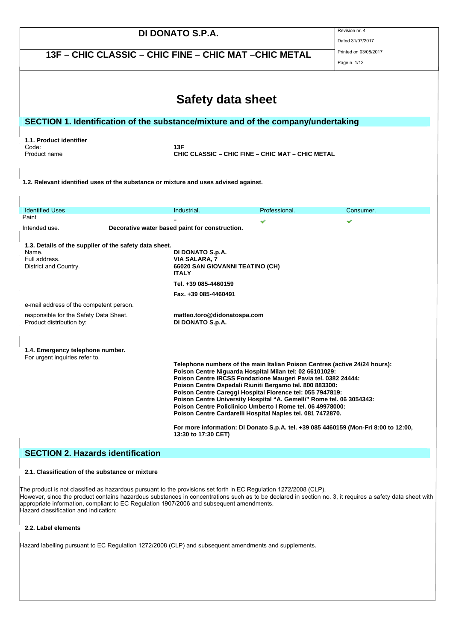| DI DONATO S.P.A.                                                                                                                                                                                                                                                                                                                                                                                                                                                                                                                   |                                                                  | Revision nr. 4<br>Dated 31/07/2017 |                                                                                     |
|------------------------------------------------------------------------------------------------------------------------------------------------------------------------------------------------------------------------------------------------------------------------------------------------------------------------------------------------------------------------------------------------------------------------------------------------------------------------------------------------------------------------------------|------------------------------------------------------------------|------------------------------------|-------------------------------------------------------------------------------------|
| 13F - CHIC CLASSIC - CHIC FINE - CHIC MAT - CHIC METAL                                                                                                                                                                                                                                                                                                                                                                                                                                                                             |                                                                  | Printed on 03/08/2017              |                                                                                     |
|                                                                                                                                                                                                                                                                                                                                                                                                                                                                                                                                    |                                                                  |                                    | Page n. 1/12                                                                        |
|                                                                                                                                                                                                                                                                                                                                                                                                                                                                                                                                    |                                                                  |                                    |                                                                                     |
|                                                                                                                                                                                                                                                                                                                                                                                                                                                                                                                                    | Safety data sheet                                                |                                    |                                                                                     |
| SECTION 1. Identification of the substance/mixture and of the company/undertaking                                                                                                                                                                                                                                                                                                                                                                                                                                                  |                                                                  |                                    |                                                                                     |
| 1.1. Product identifier                                                                                                                                                                                                                                                                                                                                                                                                                                                                                                            |                                                                  |                                    |                                                                                     |
| Code:<br>Product name                                                                                                                                                                                                                                                                                                                                                                                                                                                                                                              | 13F<br>CHIC CLASSIC – CHIC FINE – CHIC MAT – CHIC METAL          |                                    |                                                                                     |
|                                                                                                                                                                                                                                                                                                                                                                                                                                                                                                                                    |                                                                  |                                    |                                                                                     |
| 1.2. Relevant identified uses of the substance or mixture and uses advised against.                                                                                                                                                                                                                                                                                                                                                                                                                                                |                                                                  |                                    |                                                                                     |
|                                                                                                                                                                                                                                                                                                                                                                                                                                                                                                                                    |                                                                  |                                    |                                                                                     |
| <b>Identified Uses</b>                                                                                                                                                                                                                                                                                                                                                                                                                                                                                                             | Industrial.                                                      | Professional.                      | Consumer.                                                                           |
| Paint<br>Intended use.                                                                                                                                                                                                                                                                                                                                                                                                                                                                                                             | Decorative water based paint for construction.                   |                                    | v                                                                                   |
|                                                                                                                                                                                                                                                                                                                                                                                                                                                                                                                                    |                                                                  |                                    |                                                                                     |
| 1.3. Details of the supplier of the safety data sheet.<br>Name.                                                                                                                                                                                                                                                                                                                                                                                                                                                                    | DI DONATO S.p.A.                                                 |                                    |                                                                                     |
| Full address.<br>District and Country.                                                                                                                                                                                                                                                                                                                                                                                                                                                                                             | VIA SALARA, 7<br>66020 SAN GIOVANNI TEATINO (CH)<br><b>ITALY</b> |                                    |                                                                                     |
|                                                                                                                                                                                                                                                                                                                                                                                                                                                                                                                                    | Tel. +39 085-4460159                                             |                                    |                                                                                     |
|                                                                                                                                                                                                                                                                                                                                                                                                                                                                                                                                    | Fax. +39 085-4460491                                             |                                    |                                                                                     |
| e-mail address of the competent person.                                                                                                                                                                                                                                                                                                                                                                                                                                                                                            |                                                                  |                                    |                                                                                     |
| responsible for the Safety Data Sheet.<br>Product distribution by:                                                                                                                                                                                                                                                                                                                                                                                                                                                                 | matteo.toro@didonatospa.com<br>DI DONATO S.p.A.                  |                                    |                                                                                     |
|                                                                                                                                                                                                                                                                                                                                                                                                                                                                                                                                    |                                                                  |                                    |                                                                                     |
| 1.4. Emergency telephone number.                                                                                                                                                                                                                                                                                                                                                                                                                                                                                                   |                                                                  |                                    |                                                                                     |
| For urgent inquiries refer to.                                                                                                                                                                                                                                                                                                                                                                                                                                                                                                     |                                                                  |                                    |                                                                                     |
| Telephone numbers of the main Italian Poison Centres (active 24/24 hours):<br>Poison Centre Niguarda Hospital Milan tel: 02 66101029:<br>Poison Centre IRCSS Fondazione Maugeri Pavia tel. 0382 24444:<br>Poison Centre Ospedali Riuniti Bergamo tel. 800 883300:<br>Poison Centre Careggi Hospital Florence tel: 055 7947819:<br>Poison Centre University Hospital "A. Gemelli" Rome tel. 06 3054343:<br>Poison Centre Policlinico Umberto I Rome tel. 06 49978000:<br>Poison Centre Cardarelli Hospital Naples tel. 081 7472870. |                                                                  |                                    |                                                                                     |
|                                                                                                                                                                                                                                                                                                                                                                                                                                                                                                                                    | 13:30 to 17:30 CET)                                              |                                    | For more information: Di Donato S.p.A. tel. +39 085 4460159 (Mon-Fri 8:00 to 12:00, |
| <b>SECTION 2. Hazards identification</b>                                                                                                                                                                                                                                                                                                                                                                                                                                                                                           |                                                                  |                                    |                                                                                     |

### **2.1. Classification of the substance or mixture**

The product is not classified as hazardous pursuant to the provisions set forth in EC Regulation 1272/2008 (CLP). However, since the product contains hazardous substances in concentrations such as to be declared in section no. 3, it requires a safety data sheet with appropriate information, compliant to EC Regulation 1907/2006 and subsequent amendments. Hazard classification and indication:

## **2.2. Label elements**

Hazard labelling pursuant to EC Regulation 1272/2008 (CLP) and subsequent amendments and supplements.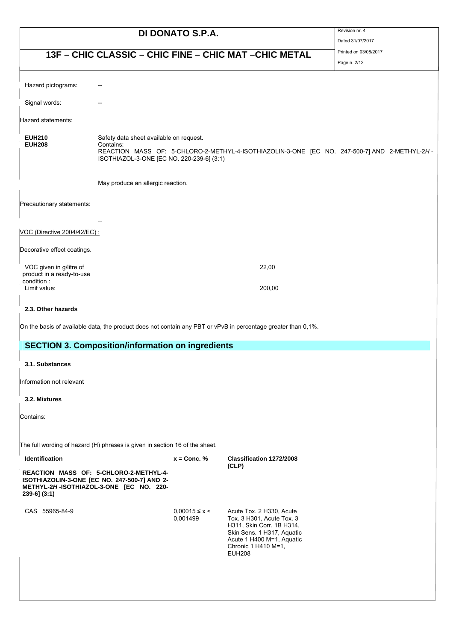| DI DONATO S.P.A.                                       |                                                                                                                                        |                               | Revision nr. 4                                                                                                                                                                        |  |
|--------------------------------------------------------|----------------------------------------------------------------------------------------------------------------------------------------|-------------------------------|---------------------------------------------------------------------------------------------------------------------------------------------------------------------------------------|--|
|                                                        |                                                                                                                                        |                               | Dated 31/07/2017<br>Printed on 03/08/2017                                                                                                                                             |  |
| 13F - CHIC CLASSIC - CHIC FINE - CHIC MAT - CHIC METAL |                                                                                                                                        |                               | Page n. 2/12                                                                                                                                                                          |  |
| Hazard pictograms:                                     |                                                                                                                                        |                               |                                                                                                                                                                                       |  |
| Signal words:                                          |                                                                                                                                        |                               |                                                                                                                                                                                       |  |
| Hazard statements:                                     |                                                                                                                                        |                               |                                                                                                                                                                                       |  |
| <b>EUH210</b><br><b>EUH208</b>                         | Safety data sheet available on request.<br>Contains:<br>ISOTHIAZOL-3-ONE [EC NO. 220-239-6] (3:1)<br>May produce an allergic reaction. |                               | REACTION MASS OF: 5-CHLORO-2-METHYL-4-ISOTHIAZOLIN-3-ONE [EC NO. 247-500-7] AND 2-METHYL-2H-                                                                                          |  |
| Precautionary statements:                              |                                                                                                                                        |                               |                                                                                                                                                                                       |  |
| VOC (Directive 2004/42/EC) :                           |                                                                                                                                        |                               |                                                                                                                                                                                       |  |
| Decorative effect coatings.                            |                                                                                                                                        |                               |                                                                                                                                                                                       |  |
| VOC given in g/litre of<br>product in a ready-to-use   |                                                                                                                                        |                               | 22,00                                                                                                                                                                                 |  |
| condition:<br>Limit value:                             |                                                                                                                                        |                               | 200,00                                                                                                                                                                                |  |
| 2.3. Other hazards                                     |                                                                                                                                        |                               |                                                                                                                                                                                       |  |
|                                                        |                                                                                                                                        |                               | On the basis of available data, the product does not contain any PBT or vPvB in percentage greater than 0,1%.                                                                         |  |
|                                                        | <b>SECTION 3. Composition/information on ingredients</b>                                                                               |                               |                                                                                                                                                                                       |  |
| 3.1. Substances                                        |                                                                                                                                        |                               |                                                                                                                                                                                       |  |
| Information not relevant                               |                                                                                                                                        |                               |                                                                                                                                                                                       |  |
| 3.2. Mixtures                                          |                                                                                                                                        |                               |                                                                                                                                                                                       |  |
| Contains:                                              |                                                                                                                                        |                               |                                                                                                                                                                                       |  |
|                                                        | The full wording of hazard (H) phrases is given in section 16 of the sheet.                                                            |                               |                                                                                                                                                                                       |  |
| Identification                                         |                                                                                                                                        | $x =$ Conc. %                 | Classification 1272/2008<br>(CLP)                                                                                                                                                     |  |
| $239-6$ ] $(3:1)$                                      | REACTION MASS OF: 5-CHLORO-2-METHYL-4-<br>ISOTHIAZOLIN-3-ONE [EC NO. 247-500-7] AND 2-<br>METHYL-2H-ISOTHIAZOL-3-ONE [EC NO. 220-      |                               |                                                                                                                                                                                       |  |
| CAS 55965-84-9                                         |                                                                                                                                        | $0.00015 \le x <$<br>0,001499 | Acute Tox. 2 H330, Acute<br>Tox. 3 H301, Acute Tox. 3<br>H311, Skin Corr. 1B H314,<br>Skin Sens. 1 H317, Aquatic<br>Acute 1 H400 M=1, Aquatic<br>Chronic 1 H410 M=1,<br><b>EUH208</b> |  |
|                                                        |                                                                                                                                        |                               |                                                                                                                                                                                       |  |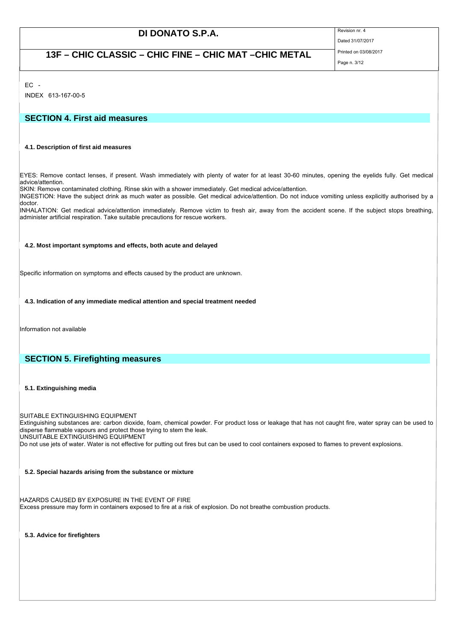## **13F – CHIC CLASSIC – CHIC FINE – CHIC MAT –CHIC METAL** Printed on 03/08/2017

Page n. 3/12

Dated 31/07/2017

 $FC -$ 

INDEX 613-167-00-5

## **SECTION 4. First aid measures**

### **4.1. Description of first aid measures**

EYES: Remove contact lenses, if present. Wash immediately with plenty of water for at least 30-60 minutes, opening the eyelids fully. Get medical advice/attention.

SKIN: Remove contaminated clothing. Rinse skin with a shower immediately. Get medical advice/attention.

INGESTION: Have the subject drink as much water as possible. Get medical advice/attention. Do not induce vomiting unless explicitly authorised by a doctor.

INHALATION: Get medical advice/attention immediately. Remove victim to fresh air, away from the accident scene. If the subject stops breathing, administer artificial respiration. Take suitable precautions for rescue workers.

### **4.2. Most important symptoms and effects, both acute and delayed**

Specific information on symptoms and effects caused by the product are unknown.

### **4.3. Indication of any immediate medical attention and special treatment needed**

Information not available

## **SECTION 5. Firefighting measures**

### **5.1. Extinguishing media**

SUITABLE EXTINGUISHING EQUIPMENT

Extinguishing substances are: carbon dioxide, foam, chemical powder. For product loss or leakage that has not caught fire, water spray can be used to disperse flammable vapours and protect those trying to stem the leak. UNSUITABLE EXTINGUISHING EQUIPMENT

Do not use jets of water. Water is not effective for putting out fires but can be used to cool containers exposed to flames to prevent explosions.

### **5.2. Special hazards arising from the substance or mixture**

HAZARDS CAUSED BY EXPOSURE IN THE EVENT OF FIRE Excess pressure may form in containers exposed to fire at a risk of explosion. Do not breathe combustion products.

**5.3. Advice for firefighters**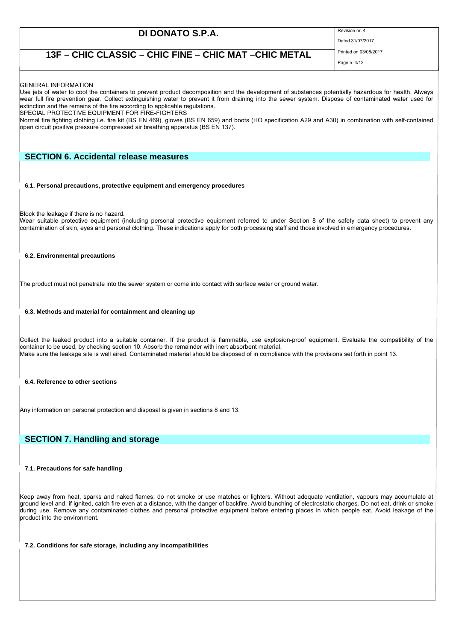Dated 31/07/2017

## **13F – CHIC CLASSIC – CHIC FINE – CHIC MAT –CHIC METAL** Printed on 03/08/2017

Page n. 4/12

### GENERAL INFORMATION

Use jets of water to cool the containers to prevent product decomposition and the development of substances potentially hazardous for health. Always wear full fire prevention gear. Collect extinguishing water to prevent it from draining into the sewer system. Dispose of contaminated water used for extinction and the remains of the fire according to applicable regulations.

SPECIAL PROTECTIVE EQUIPMENT FOR FIRE-FIGHTERS

Normal fire fighting clothing i.e. fire kit (BS EN 469), gloves (BS EN 659) and boots (HO specification A29 and A30) in combination with self-contained open circuit positive pressure compressed air breathing apparatus (BS EN 137).

### **SECTION 6. Accidental release measures**

**6.1. Personal precautions, protective equipment and emergency procedures**

Block the leakage if there is no hazard.

Wear suitable protective equipment (including personal protective equipment referred to under Section 8 of the safety data sheet) to prevent any contamination of skin, eyes and personal clothing. These indications apply for both processing staff and those involved in emergency procedures.

### **6.2. Environmental precautions**

The product must not penetrate into the sewer system or come into contact with surface water or ground water.

**6.3. Methods and material for containment and cleaning up**

Collect the leaked product into a suitable container. If the product is flammable, use explosion-proof equipment. Evaluate the compatibility of the container to be used, by checking section 10. Absorb the remainder with inert absorbent material. Make sure the leakage site is well aired. Contaminated material should be disposed of in compliance with the provisions set forth in point 13.

### **6.4. Reference to other sections**

Any information on personal protection and disposal is given in sections 8 and 13.

## **SECTION 7. Handling and storage**

### **7.1. Precautions for safe handling**

Keep away from heat, sparks and naked flames; do not smoke or use matches or lighters. Without adequate ventilation, vapours may accumulate at ground level and, if ignited, catch fire even at a distance, with the danger of backfire. Avoid bunching of electrostatic charges. Do not eat, drink or smoke during use. Remove any contaminated clothes and personal protective equipment before entering places in which people eat. Avoid leakage of the product into the environment.

### **7.2. Conditions for safe storage, including any incompatibilities**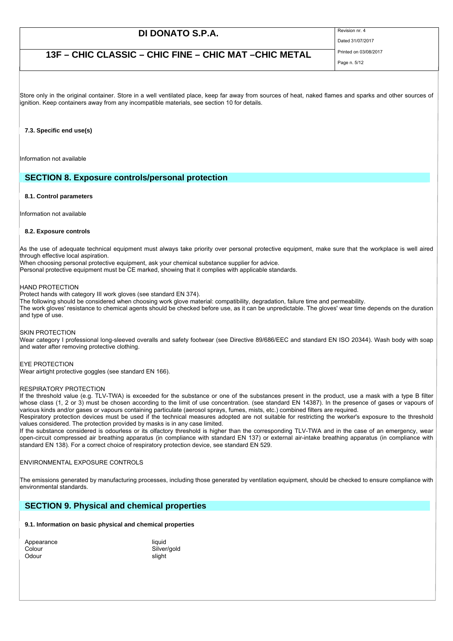Dated 31/07/2017

## **13F – CHIC CLASSIC – CHIC FINE – CHIC MAT –CHIC METAL** Printed on 03/08/2017

Page n. 5/12

Store only in the original container. Store in a well ventilated place, keep far away from sources of heat, naked flames and sparks and other sources of ignition. Keep containers away from any incompatible materials, see section 10 for details.

### **7.3. Specific end use(s)**

Information not available

### **SECTION 8. Exposure controls/personal protection**

### **8.1. Control parameters**

Information not available

### **8.2. Exposure controls**

As the use of adequate technical equipment must always take priority over personal protective equipment, make sure that the workplace is well aired through effective local aspiration.

When choosing personal protective equipment, ask your chemical substance supplier for advice.

Personal protective equipment must be CE marked, showing that it complies with applicable standards.

### HAND PROTECTION

Protect hands with category III work gloves (see standard EN 374).

The following should be considered when choosing work glove material: compatibility, degradation, failure time and permeability.

The work gloves' resistance to chemical agents should be checked before use, as it can be unpredictable. The gloves' wear time depends on the duration and type of use.

### SKIN PROTECTION

Wear category I professional long-sleeved overalls and safety footwear (see Directive 89/686/EEC and standard EN ISO 20344). Wash body with soap and water after removing protective clothing.

### EYE PROTECTION

Wear airtight protective goggles (see standard EN 166).

### RESPIRATORY PROTECTION

If the threshold value (e.g. TLV-TWA) is exceeded for the substance or one of the substances present in the product, use a mask with a type B filter whose class (1, 2 or 3) must be chosen according to the limit of use concentration. (see standard EN 14387). In the presence of gases or vapours of various kinds and/or gases or vapours containing particulate (aerosol sprays, fumes, mists, etc.) combined filters are required.

Respiratory protection devices must be used if the technical measures adopted are not suitable for restricting the worker's exposure to the threshold values considered. The protection provided by masks is in any case limited.

If the substance considered is odourless or its olfactory threshold is higher than the corresponding TLV-TWA and in the case of an emergency, wear open-circuit compressed air breathing apparatus (in compliance with standard EN 137) or external air-intake breathing apparatus (in compliance with standard EN 138). For a correct choice of respiratory protection device, see standard EN 529.

### ENVIRONMENTAL EXPOSURE CONTROLS

The emissions generated by manufacturing processes, including those generated by ventilation equipment, should be checked to ensure compliance with environmental standards.

## **SECTION 9. Physical and chemical properties**

### **9.1. Information on basic physical and chemical properties**

| Appearance | liauid |
|------------|--------|
| Colour     | Silver |
| Odour      | slight |

Silver/gold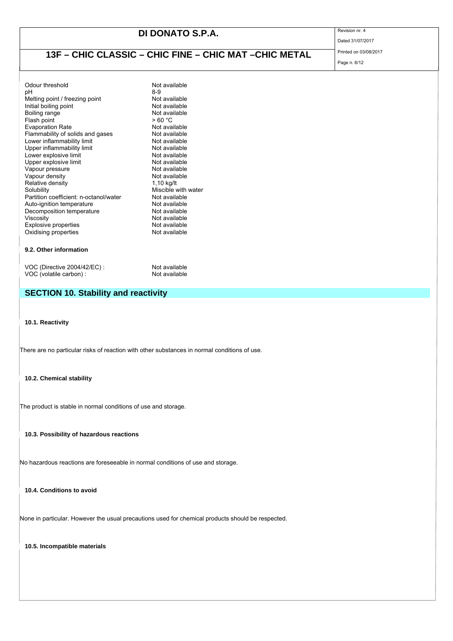Dated 31/07/2017

# **13F – CHIC CLASSIC – CHIC FINE – CHIC MAT –CHIC METAL** Printed on 03/08/2017

Page n. 6/12

| Odour threshold                                                                                                                                                                                                                                                                                                                    | Not available       |
|------------------------------------------------------------------------------------------------------------------------------------------------------------------------------------------------------------------------------------------------------------------------------------------------------------------------------------|---------------------|
| рH                                                                                                                                                                                                                                                                                                                                 | 8-9                 |
| Melting point / freezing point                                                                                                                                                                                                                                                                                                     | Not available       |
| Initial boiling point                                                                                                                                                                                                                                                                                                              | Not available       |
| Boiling range                                                                                                                                                                                                                                                                                                                      | Not available       |
| Flash point                                                                                                                                                                                                                                                                                                                        | >60 °C              |
| <b>Evaporation Rate</b>                                                                                                                                                                                                                                                                                                            | Not available       |
| Flammability of solids and gases                                                                                                                                                                                                                                                                                                   | Not available       |
| Lower inflammability limit                                                                                                                                                                                                                                                                                                         | Not available       |
| Upper inflammability limit                                                                                                                                                                                                                                                                                                         | Not available       |
| Lower explosive limit                                                                                                                                                                                                                                                                                                              | Not available       |
| Upper explosive limit                                                                                                                                                                                                                                                                                                              | Not available       |
| Vapour pressure                                                                                                                                                                                                                                                                                                                    | Not available       |
| Vapour density                                                                                                                                                                                                                                                                                                                     | Not available       |
| Relative density                                                                                                                                                                                                                                                                                                                   | 1,10 kg/lt          |
| Solubility                                                                                                                                                                                                                                                                                                                         | Miscible with water |
| Partition coefficient: n-octanol/water                                                                                                                                                                                                                                                                                             | Not available       |
| Auto-ignition temperature                                                                                                                                                                                                                                                                                                          | Not available       |
| Decomposition temperature                                                                                                                                                                                                                                                                                                          | Not available       |
| Viscosity                                                                                                                                                                                                                                                                                                                          | Not available       |
| <b>Explosive properties</b>                                                                                                                                                                                                                                                                                                        | Not available       |
| Oxidising properties                                                                                                                                                                                                                                                                                                               | Not available       |
|                                                                                                                                                                                                                                                                                                                                    |                     |
| $\mathbf{A}$ $\mathbf{A}$ $\mathbf{A}$ $\mathbf{B}$ $\mathbf{A}$ $\mathbf{B}$ $\mathbf{A}$ $\mathbf{B}$ $\mathbf{A}$ $\mathbf{B}$ $\mathbf{A}$ $\mathbf{B}$ $\mathbf{A}$ $\mathbf{B}$ $\mathbf{A}$ $\mathbf{B}$ $\mathbf{B}$ $\mathbf{B}$ $\mathbf{A}$ $\mathbf{B}$ $\mathbf{B}$ $\mathbf{B}$ $\mathbf{B}$ $\mathbf{B}$ $\mathbf{$ |                     |

### **9.2. Other information**

VOC (Directive 2004/42/EC) : Not available<br>VOC (volatile carbon) : Not available  $VOC$  (volatile carbon) :

## **SECTION 10. Stability and reactivity**

**10.1. Reactivity**

There are no particular risks of reaction with other substances in normal conditions of use.

**10.2. Chemical stability**

The product is stable in normal conditions of use and storage.

**10.3. Possibility of hazardous reactions**

No hazardous reactions are foreseeable in normal conditions of use and storage.

**10.4. Conditions to avoid**

None in particular. However the usual precautions used for chemical products should be respected.

**10.5. Incompatible materials**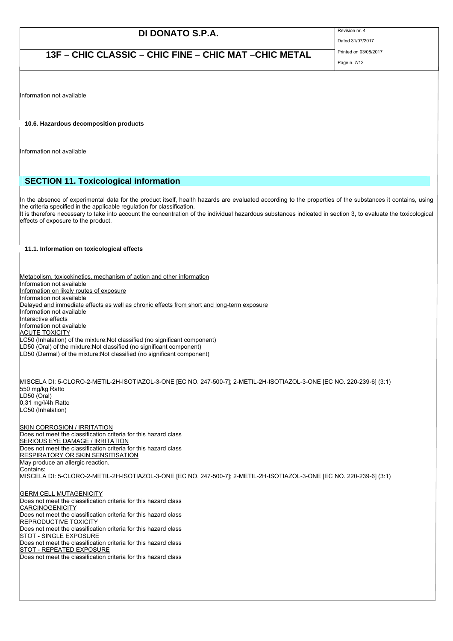Dated 31/07/2017

**13F – CHIC CLASSIC – CHIC FINE – CHIC MAT –CHIC METAL** Printed on 03/08/2017 Page n. 7/12

Information not available

**10.6. Hazardous decomposition products**

Information not available

## **SECTION 11. Toxicological information**

In the absence of experimental data for the product itself, health hazards are evaluated according to the properties of the substances it contains, using the criteria specified in the applicable regulation for classification. It is therefore necessary to take into account the concentration of the individual hazardous substances indicated in section 3, to evaluate the toxicological

**11.1. Information on toxicological effects**

effects of exposure to the product.

Metabolism, toxicokinetics, mechanism of action and other information Information not available Information on likely routes of exposure Information not available Delayed and immediate effects as well as chronic effects from short and long-term exposure Information not available Interactive effects Information not available ACUTE TOXICITY LC50 (Inhalation) of the mixture:Not classified (no significant component)  $\overline{\text{LD50}}$  (Oral) of the mixture:Not classified (no significant component) LD50 (Dermal) of the mixture:Not classified (no significant component) MISCELA DI: 5-CLORO-2-METIL-2H-ISOTIAZOL-3-ONE [EC NO. 247-500-7]; 2-METIL-2H-ISOTIAZOL-3-ONE [EC NO. 220-239-6] (3:1) 550 mg/kg Ratto LD50 (Oral) 0,31 mg/l/4h Ratto LC50 (Inhalation) SKIN CORROSION / IRRITATION Does not meet the classification criteria for this hazard class **SERIOUS EYE DAMAGE / IRRITATION** Does not meet the classification criteria for this hazard class RESPIRATORY OR SKIN SENSITISATION May produce an allergic reaction. Contains: MISCELA DI: 5-CLORO-2-METIL-2H-ISOTIAZOL-3-ONE [EC NO. 247-500-7]; 2-METIL-2H-ISOTIAZOL-3-ONE [EC NO. 220-239-6] (3:1) **GERM CELL MUTAGENICITY** Does not meet the classification criteria for this hazard class **CARCINOGENICITY** Does not meet the classification criteria for this hazard class REPRODUCTIVE TOXICITY Does not meet the classification criteria for this hazard class **STOT - SINGLE EXPOSURE** Does not meet the classification criteria for this hazard class STOT - REPEATED EXPOSURE Does not meet the classification criteria for this hazard class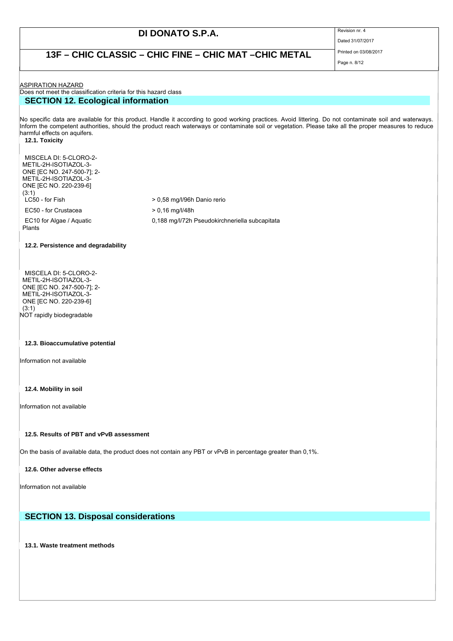Dated 31/07/2017

## **13F – CHIC CLASSIC – CHIC FINE – CHIC MAT –CHIC METAL** Printed on 03/08/2017

Page n. 8/12

**ASPIRATION HAZARD** 

### Does not meet the classification criteria for this hazard class **SECTION 12. Ecological information**

No specific data are available for this product. Handle it according to good working practices. Avoid littering. Do not contaminate soil and waterways. Inform the competent authorities, should the product reach waterways or contaminate soil or vegetation. Please take all the proper measures to reduce harmful effects on aquifers.

**12.1. Toxicity**

MISCELA DI: 5-CLORO-2- METIL-2H-ISOTIAZOL-3- ONE [EC NO. 247-500-7]; 2- METIL-2H-ISOTIAZOL-3- ONE [EC NO. 220-239-6] (3:1)  $LC50 - for Fish$   $> 0,58 \text{ mg/l/96h}$  Danio rerio

EC50 - for Crustacea > 0,16 mg/l/48h 0,188 mg/l/72h Pseudokirchneriella subcapitata

EC10 for Algae / Aquatic Plants

### **12.2. Persistence and degradability**

MISCELA DI: 5-CLORO-2- METIL-2H-ISOTIAZOL-3- ONE [EC NO. 247-500-7]; 2- METIL-2H-ISOTIAZOL-3- ONE [EC NO. 220-239-6] (3:1) NOT rapidly biodegradable

### **12.3. Bioaccumulative potential**

Information not available

### **12.4. Mobility in soil**

Information not available

### **12.5. Results of PBT and vPvB assessment**

On the basis of available data, the product does not contain any PBT or vPvB in percentage greater than 0,1%.

### **12.6. Other adverse effects**

Information not available

### **SECTION 13. Disposal considerations**

**13.1. Waste treatment methods**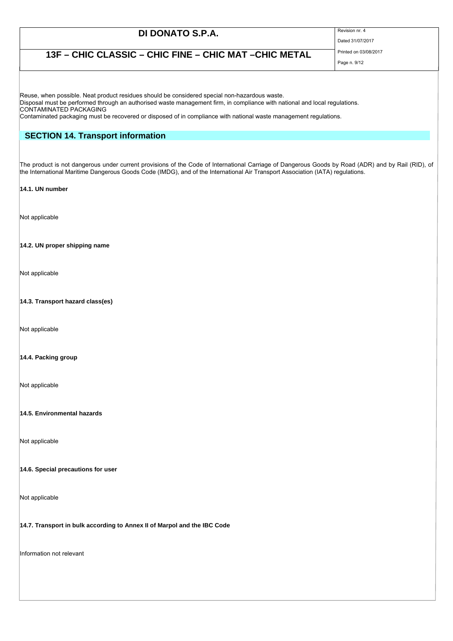Dated 31/07/2017

## **13F – CHIC CLASSIC – CHIC FINE – CHIC MAT –CHIC METAL** Printed on 03/08/2017 Page n. 9/12

Reuse, when possible. Neat product residues should be considered special non-hazardous waste.

Disposal must be performed through an authorised waste management firm, in compliance with national and local regulations. CONTAMINATED PACKAGING

Contaminated packaging must be recovered or disposed of in compliance with national waste management regulations.

## **SECTION 14. Transport information**

The product is not dangerous under current provisions of the Code of International Carriage of Dangerous Goods by Road (ADR) and by Rail (RID), of the International Maritime Dangerous Goods Code (IMDG), and of the International Air Transport Association (IATA) regulations.

### **14.1. UN number**

Not applicable

### **14.2. UN proper shipping name**

Not applicable

### **14.3. Transport hazard class(es)**

Not applicable

### **14.4. Packing group**

Not applicable

### **14.5. Environmental hazards**

Not applicable

### **14.6. Special precautions for user**

Not applicable

### **14.7. Transport in bulk according to Annex II of Marpol and the IBC Code**

Information not relevant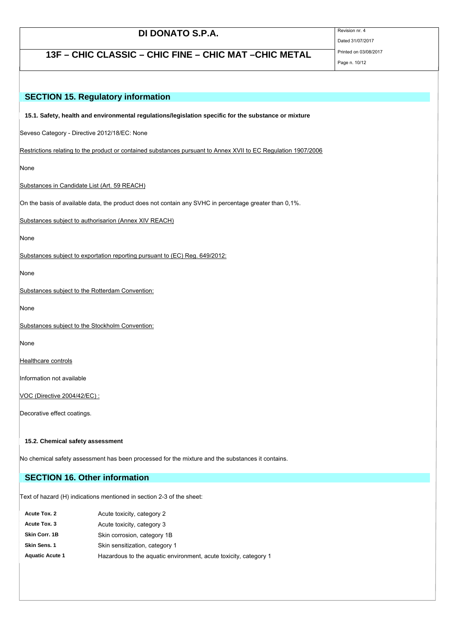Dated 31/07/2017

**13F – CHIC CLASSIC – CHIC FINE – CHIC MAT –CHIC METAL** Printed on 03/08/2017

## Page n. 10/12

# **SECTION 15. Regulatory information 15.1. Safety, health and environmental regulations/legislation specific for the substance or mixture** Seveso Category - Directive 2012/18/EC: None Restrictions relating to the product or contained substances pursuant to Annex XVII to EC Regulation 1907/2006 None Substances in Candidate List (Art. 59 REACH) On the basis of available data, the product does not contain any SVHC in percentage greater than 0,1%. Substances subject to authorisarion (Annex XIV REACH) None Substances subject to exportation reporting pursuant to (EC) Reg. 649/2012: None Substances subject to the Rotterdam Convention: None Substances subject to the Stockholm Convention: None Healthcare controls Information not available VOC (Directive 2004/42/EC) : Decorative effect coatings. **15.2. Chemical safety assessment** No chemical safety assessment has been processed for the mixture and the substances it contains.

## **SECTION 16. Other information**

Text of hazard (H) indications mentioned in section 2-3 of the sheet:

| Acute Tox. 2           | Acute toxicity, category 2                                       |
|------------------------|------------------------------------------------------------------|
| Acute Tox. 3           | Acute toxicity, category 3                                       |
| Skin Corr, 1B          | Skin corrosion, category 1B                                      |
| Skin Sens. 1           | Skin sensitization, category 1                                   |
| <b>Aquatic Acute 1</b> | Hazardous to the aquatic environment, acute toxicity, category 1 |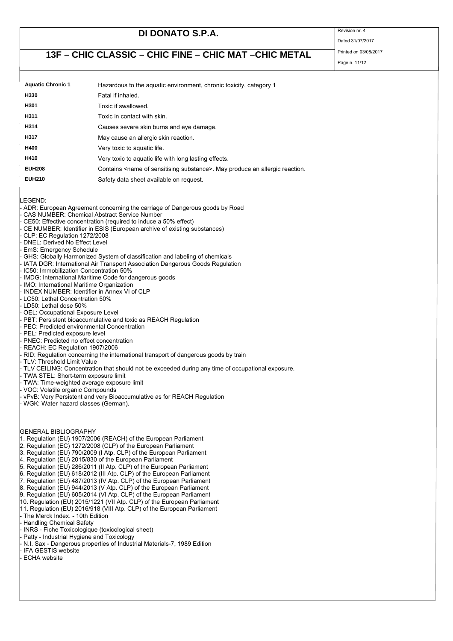Dated 31/07/2017

## **13F – CHIC CLASSIC – CHIC FINE – CHIC MAT –CHIC METAL** Printed on 03/08/2017

| <b>Aquatic Chronic 1</b> | Hazardous to the aquatic environment, chronic toxicity, category 1                          |
|--------------------------|---------------------------------------------------------------------------------------------|
| H330                     | Fatal if inhaled.                                                                           |
| H301                     | Toxic if swallowed.                                                                         |
| H311                     | Toxic in contact with skin.                                                                 |
| H314                     | Causes severe skin burns and eye damage.                                                    |
| H317                     | May cause an allergic skin reaction.                                                        |
| H400                     | Very toxic to aguatic life.                                                                 |
| H410                     | Very toxic to aquatic life with long lasting effects.                                       |
| <b>EUH208</b>            | Contains <name of="" sensitising="" substance="">. May produce an allergic reaction.</name> |
| <b>EUH210</b>            | Safety data sheet available on request.                                                     |

LEGEND:

- ADR: European Agreement concerning the carriage of Dangerous goods by Road

CAS NUMBER: Chemical Abstract Service Number

CE50: Effective concentration (required to induce a 50% effect)

- CE NUMBER: Identifier in ESIS (European archive of existing substances)
- CLP: EC Regulation 1272/2008
- DNEL: Derived No Effect Level
- EmS: Emergency Schedule

### - GHS: Globally Harmonized System of classification and labeling of chemicals

- IATA DGR: International Air Transport Association Dangerous Goods Regulation
- IC50: Immobilization Concentration 50%
- IMDG: International Maritime Code for dangerous goods
- IMO: International Maritime Organization
- INDEX NUMBER: Identifier in Annex VI of CLP
- LC50: Lethal Concentration 50%
- LD50: Lethal dose 50%
- OEL: Occupational Exposure Level
- PBT: Persistent bioaccumulative and toxic as REACH Regulation
- PEC: Predicted environmental Concentration
- PEL: Predicted exposure level
- PNEC: Predicted no effect concentration
- REACH: EC Regulation 1907/2006
- RID: Regulation concerning the international transport of dangerous goods by train
- TLV: Threshold Limit Value
- TLV CEILING: Concentration that should not be exceeded during any time of occupational exposure.
- TWA STEL: Short-term exposure limit
- TWA: Time-weighted average exposure limit
- VOC: Volatile organic Compounds
- vPvB: Very Persistent and very Bioaccumulative as for REACH Regulation
- WGK: Water hazard classes (German).

GENERAL BIBLIOGRAPHY

- 1. Regulation (EU) 1907/2006 (REACH) of the European Parliament
- 2. Regulation (EC) 1272/2008 (CLP) of the European Parliament
- 3. Regulation (EU) 790/2009 (I Atp. CLP) of the European Parliament
- 4. Regulation (EU) 2015/830 of the European Parliament
- 5. Regulation (EU) 286/2011 (II Atp. CLP) of the European Parliament
- 6. Regulation (EU) 618/2012 (III Atp. CLP) of the European Parliament
- 7. Regulation  $(EU)$  487/2013 (IV Atp. CLP) of the European Parliament
- 8. Regulation (EU) 944/2013 (V Atp. CLP) of the European Parliament
- 9. Regulation (EU) 605/2014 (VI Atp. CLP) of the European Parliament
- 10. Regulation (EU) 2015/1221 (VII Atp. CLP) of the European Parliament
- 11. Regulation (EU) 2016/918 (VIII Atp. CLP) of the European Parliament
- The Merck Index. 10th Edition
- Handling Chemical Safety
- INRS Fiche Toxicologique (toxicological sheet)
- Patty Industrial Hygiene and Toxicology
- N.I. Sax Dangerous properties of Industrial Materials-7, 1989 Edition
- IFA GESTIS website ECHA website